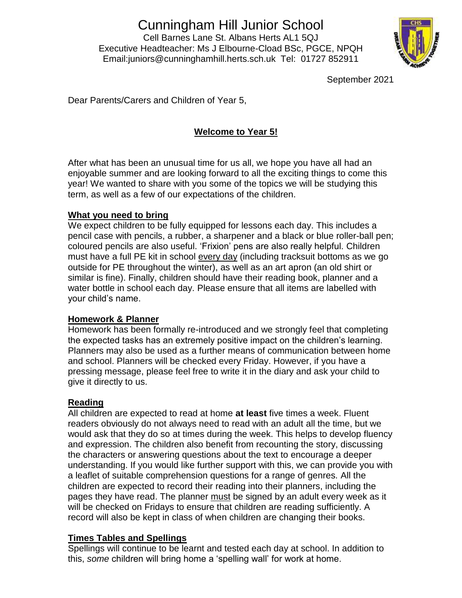# Cunningham Hill Junior School

Cell Barnes Lane St. Albans Herts AL1 5QJ Executive Headteacher: Ms J Elbourne-Cload BSc, PGCE, NPQH Email:juniors@cunninghamhill.herts.sch.uk Tel: 01727 852911



September 2021

Dear Parents/Carers and Children of Year 5,

# **Welcome to Year 5!**

After what has been an unusual time for us all, we hope you have all had an enjoyable summer and are looking forward to all the exciting things to come this year! We wanted to share with you some of the topics we will be studying this term, as well as a few of our expectations of the children.

## **What you need to bring**

We expect children to be fully equipped for lessons each day. This includes a pencil case with pencils, a rubber, a sharpener and a black or blue roller-ball pen; coloured pencils are also useful. 'Frixion' pens are also really helpful. Children must have a full PE kit in school every day (including tracksuit bottoms as we go outside for PE throughout the winter), as well as an art apron (an old shirt or similar is fine). Finally, children should have their reading book, planner and a water bottle in school each day. Please ensure that all items are labelled with your child's name.

## **Homework & Planner**

Homework has been formally re-introduced and we strongly feel that completing the expected tasks has an extremely positive impact on the children's learning. Planners may also be used as a further means of communication between home and school. Planners will be checked every Friday. However, if you have a pressing message, please feel free to write it in the diary and ask your child to give it directly to us.

### **Reading**

All children are expected to read at home **at least** five times a week. Fluent readers obviously do not always need to read with an adult all the time, but we would ask that they do so at times during the week. This helps to develop fluency and expression. The children also benefit from recounting the story, discussing the characters or answering questions about the text to encourage a deeper understanding. If you would like further support with this, we can provide you with a leaflet of suitable comprehension questions for a range of genres. All the children are expected to record their reading into their planners, including the pages they have read. The planner must be signed by an adult every week as it will be checked on Fridays to ensure that children are reading sufficiently. A record will also be kept in class of when children are changing their books.

## **Times Tables and Spellings**

Spellings will continue to be learnt and tested each day at school. In addition to this, *some* children will bring home a 'spelling wall' for work at home.